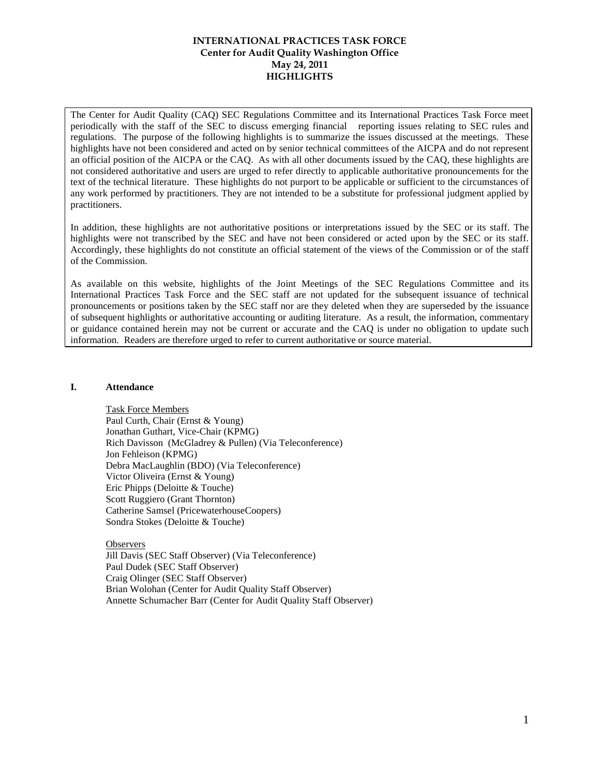The Center for Audit Quality (CAQ) SEC Regulations Committee and its International Practices Task Force meet periodically with the staff of the SEC to discuss emerging financial reporting issues relating to SEC rules and regulations. The purpose of the following highlights is to summarize the issues discussed at the meetings. These highlights have not been considered and acted on by senior technical committees of the AICPA and do not represent an official position of the AICPA or the CAQ. As with all other documents issued by the CAQ, these highlights are not considered authoritative and users are urged to refer directly to applicable authoritative pronouncements for the text of the technical literature. These highlights do not purport to be applicable or sufficient to the circumstances of any work performed by practitioners. They are not intended to be a substitute for professional judgment applied by practitioners.

In addition, these highlights are not authoritative positions or interpretations issued by the SEC or its staff. The highlights were not transcribed by the SEC and have not been considered or acted upon by the SEC or its staff. Accordingly, these highlights do not constitute an official statement of the views of the Commission or of the staff of the Commission.

As available on this website, highlights of the Joint Meetings of the SEC Regulations Committee and its International Practices Task Force and the SEC staff are not updated for the subsequent issuance of technical pronouncements or positions taken by the SEC staff nor are they deleted when they are superseded by the issuance of subsequent highlights or authoritative accounting or auditing literature. As a result, the information, commentary or guidance contained herein may not be current or accurate and the CAQ is under no obligation to update such information. Readers are therefore urged to refer to current authoritative or source material.

### **I. Attendance**

Task Force Members Paul Curth, Chair (Ernst & Young) Jonathan Guthart, Vice-Chair (KPMG) Rich Davisson (McGladrey & Pullen) (Via Teleconference) Jon Fehleison (KPMG) Debra MacLaughlin (BDO) (Via Teleconference) Victor Oliveira (Ernst & Young) Eric Phipps (Deloitte & Touche) Scott Ruggiero (Grant Thornton) Catherine Samsel (PricewaterhouseCoopers) Sondra Stokes (Deloitte & Touche)

**Observers** 

Jill Davis (SEC Staff Observer) (Via Teleconference) Paul Dudek (SEC Staff Observer) Craig Olinger (SEC Staff Observer) Brian Wolohan (Center for Audit Quality Staff Observer) Annette Schumacher Barr (Center for Audit Quality Staff Observer)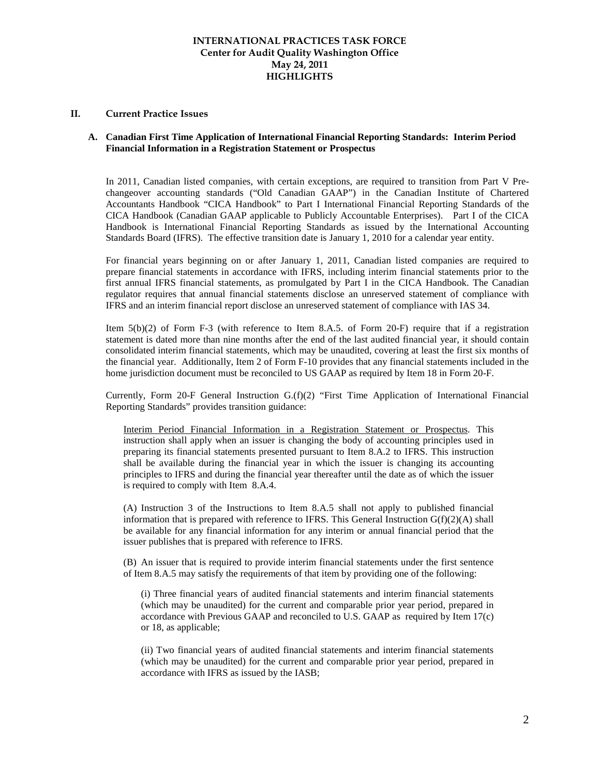#### **II. Current Practice Issues**

### **A. Canadian First Time Application of International Financial Reporting Standards: Interim Period Financial Information in a Registration Statement or Prospectus**

In 2011, Canadian listed companies, with certain exceptions, are required to transition from Part V Prechangeover accounting standards ("Old Canadian GAAP") in the Canadian Institute of Chartered Accountants Handbook "CICA Handbook" to Part I International Financial Reporting Standards of the CICA Handbook (Canadian GAAP applicable to Publicly Accountable Enterprises). Part I of the CICA Handbook is International Financial Reporting Standards as issued by the International Accounting Standards Board (IFRS). The effective transition date is January 1, 2010 for a calendar year entity.

For financial years beginning on or after January 1, 2011, Canadian listed companies are required to prepare financial statements in accordance with IFRS, including interim financial statements prior to the first annual IFRS financial statements, as promulgated by Part I in the CICA Handbook. The Canadian regulator requires that annual financial statements disclose an unreserved statement of compliance with IFRS and an interim financial report disclose an unreserved statement of compliance with IAS 34.

Item 5(b)(2) of Form F-3 (with reference to Item 8.A.5. of Form 20-F) require that if a registration statement is dated more than nine months after the end of the last audited financial year, it should contain consolidated interim financial statements, which may be unaudited, covering at least the first six months of the financial year. Additionally, Item 2 of Form F-10 provides that any financial statements included in the home jurisdiction document must be reconciled to US GAAP as required by Item 18 in Form 20-F.

Currently, Form 20-F General Instruction G.(f)(2) "First Time Application of International Financial Reporting Standards" provides transition guidance:

Interim Period Financial Information in a Registration Statement or Prospectus. This instruction shall apply when an issuer is changing the body of accounting principles used in preparing its financial statements presented pursuant to Item 8.A.2 to IFRS. This instruction shall be available during the financial year in which the issuer is changing its accounting principles to IFRS and during the financial year thereafter until the date as of which the issuer is required to comply with Item 8.A.4.

(A) Instruction 3 of the Instructions to Item 8.A.5 shall not apply to published financial information that is prepared with reference to IFRS. This General Instruction  $G(f)(2)(A)$  shall be available for any financial information for any interim or annual financial period that the issuer publishes that is prepared with reference to IFRS.

(B) An issuer that is required to provide interim financial statements under the first sentence of Item 8.A.5 may satisfy the requirements of that item by providing one of the following:

(i) Three financial years of audited financial statements and interim financial statements (which may be unaudited) for the current and comparable prior year period, prepared in accordance with Previous GAAP and reconciled to U.S. GAAP as required by Item 17(c) or 18, as applicable;

(ii) Two financial years of audited financial statements and interim financial statements (which may be unaudited) for the current and comparable prior year period, prepared in accordance with IFRS as issued by the IASB;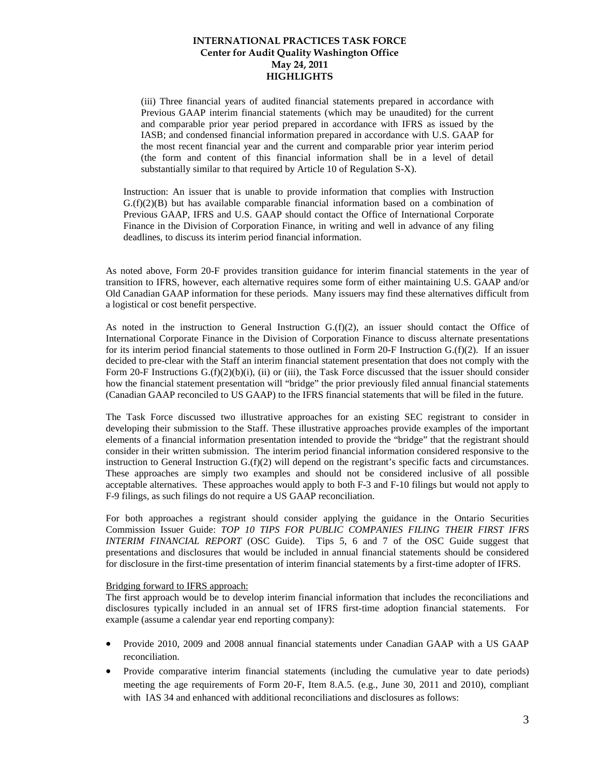(iii) Three financial years of audited financial statements prepared in accordance with Previous GAAP interim financial statements (which may be unaudited) for the current and comparable prior year period prepared in accordance with IFRS as issued by the IASB; and condensed financial information prepared in accordance with U.S. GAAP for the most recent financial year and the current and comparable prior year interim period (the form and content of this financial information shall be in a level of detail substantially similar to that required by Article 10 of Regulation S-X).

Instruction: An issuer that is unable to provide information that complies with Instruction  $G(f)(2)(B)$  but has available comparable financial information based on a combination of Previous GAAP, IFRS and U.S. GAAP should contact the Office of International Corporate Finance in the Division of Corporation Finance, in writing and well in advance of any filing deadlines, to discuss its interim period financial information.

As noted above, Form 20-F provides transition guidance for interim financial statements in the year of transition to IFRS, however, each alternative requires some form of either maintaining U.S. GAAP and/or Old Canadian GAAP information for these periods. Many issuers may find these alternatives difficult from a logistical or cost benefit perspective.

As noted in the instruction to General Instruction  $G(f)(2)$ , an issuer should contact the Office of International Corporate Finance in the Division of Corporation Finance to discuss alternate presentations for its interim period financial statements to those outlined in Form 20-F Instruction G.(f)(2). If an issuer decided to pre-clear with the Staff an interim financial statement presentation that does not comply with the Form 20-F Instructions G.(f)(2)(b)(i), (ii) or (iii), the Task Force discussed that the issuer should consider how the financial statement presentation will "bridge" the prior previously filed annual financial statements (Canadian GAAP reconciled to US GAAP) to the IFRS financial statements that will be filed in the future.

The Task Force discussed two illustrative approaches for an existing SEC registrant to consider in developing their submission to the Staff. These illustrative approaches provide examples of the important elements of a financial information presentation intended to provide the "bridge" that the registrant should consider in their written submission. The interim period financial information considered responsive to the instruction to General Instruction G.(f)(2) will depend on the registrant's specific facts and circumstances. These approaches are simply two examples and should not be considered inclusive of all possible acceptable alternatives. These approaches would apply to both F-3 and F-10 filings but would not apply to F-9 filings, as such filings do not require a US GAAP reconciliation.

For both approaches a registrant should consider applying the guidance in the Ontario Securities Commission Issuer Guide: *TOP 10 TIPS FOR PUBLIC COMPANIES FILING THEIR FIRST IFRS INTERIM FINANCIAL REPORT* (OSC Guide). Tips 5, 6 and 7 of the OSC Guide suggest that presentations and disclosures that would be included in annual financial statements should be considered for disclosure in the first-time presentation of interim financial statements by a first-time adopter of IFRS.

#### Bridging forward to IFRS approach:

The first approach would be to develop interim financial information that includes the reconciliations and disclosures typically included in an annual set of IFRS first-time adoption financial statements. For example (assume a calendar year end reporting company):

- Provide 2010, 2009 and 2008 annual financial statements under Canadian GAAP with a US GAAP reconciliation.
- Provide comparative interim financial statements (including the cumulative year to date periods) meeting the age requirements of Form 20-F, Item 8.A.5. (e.g., June 30, 2011 and 2010), compliant with IAS 34 and enhanced with additional reconciliations and disclosures as follows: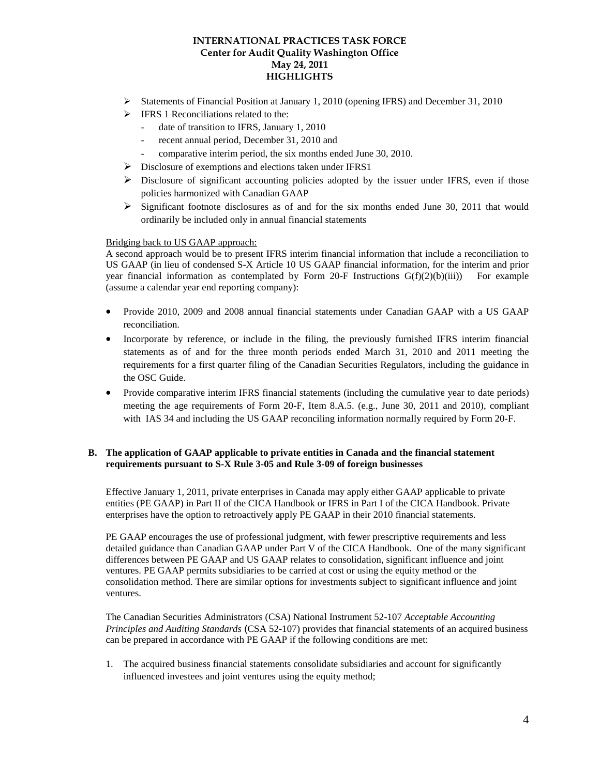- Statements of Financial Position at January 1, 2010 (opening IFRS) and December 31, 2010
- $\triangleright$  IFRS 1 Reconciliations related to the:
	- date of transition to IFRS, January 1, 2010
	- recent annual period, December 31, 2010 and
	- comparative interim period, the six months ended June 30, 2010.
- Disclosure of exemptions and elections taken under IFRS1
- $\triangleright$  Disclosure of significant accounting policies adopted by the issuer under IFRS, even if those policies harmonized with Canadian GAAP
- $\triangleright$  Significant footnote disclosures as of and for the six months ended June 30, 2011 that would ordinarily be included only in annual financial statements

### Bridging back to US GAAP approach:

A second approach would be to present IFRS interim financial information that include a reconciliation to US GAAP (in lieu of condensed S-X Article 10 US GAAP financial information, for the interim and prior year financial information as contemplated by Form 20-F Instructions  $G(f)(2)(b)(iii)$  For example (assume a calendar year end reporting company):

- Provide 2010, 2009 and 2008 annual financial statements under Canadian GAAP with a US GAAP reconciliation.
- Incorporate by reference, or include in the filing, the previously furnished IFRS interim financial statements as of and for the three month periods ended March 31, 2010 and 2011 meeting the requirements for a first quarter filing of the Canadian Securities Regulators, including the guidance in the OSC Guide.
- Provide comparative interim IFRS financial statements (including the cumulative year to date periods) meeting the age requirements of Form 20-F, Item 8.A.5. (e.g., June 30, 2011 and 2010), compliant with IAS 34 and including the US GAAP reconciling information normally required by Form 20-F.

### **B. The application of GAAP applicable to private entities in Canada and the financial statement requirements pursuant to S-X Rule 3-05 and Rule 3-09 of foreign businesses**

Effective January 1, 2011, private enterprises in Canada may apply either GAAP applicable to private entities (PE GAAP) in Part II of the CICA Handbook or IFRS in Part I of the CICA Handbook. Private enterprises have the option to retroactively apply PE GAAP in their 2010 financial statements.

PE GAAP encourages the use of professional judgment, with fewer prescriptive requirements and less detailed guidance than Canadian GAAP under Part V of the CICA Handbook. One of the many significant differences between PE GAAP and US GAAP relates to consolidation, significant influence and joint ventures. PE GAAP permits subsidiaries to be carried at cost or using the equity method or the consolidation method. There are similar options for investments subject to significant influence and joint ventures.

The Canadian Securities Administrators (CSA) National Instrument 52-107 *Acceptable Accounting Principles and Auditing Standards* (CSA 52-107) provides that financial statements of an acquired business can be prepared in accordance with PE GAAP if the following conditions are met:

1. The acquired business financial statements consolidate subsidiaries and account for significantly influenced investees and joint ventures using the equity method;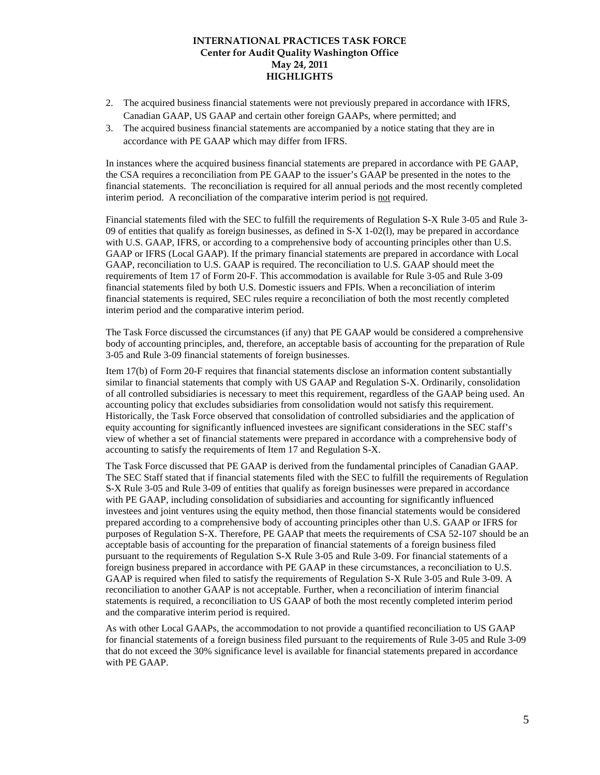- 2. The acquired business financial statements were not previously prepared in accordance with IFRS, Canadian GAAP, US GAAP and certain other foreign GAAPs, where permitted; and
- 3. The acquired business financial statements are accompanied by a notice stating that they are in accordance with PE GAAP which may differ from IFRS.

In instances where the acquired business financial statements are prepared in accordance with PE GAAP, the CSA requires a reconciliation from PE GAAP to the issuer's GAAP be presented in the notes to the financial statements. The reconciliation is required for all annual periods and the most recently completed interim period. A reconciliation of the comparative interim period is not required.

Financial statements filed with the SEC to fulfill the requirements of Regulation S-X Rule 3-05 and Rule 3- 09 of entities that qualify as foreign businesses, as defined in S-X 1-02(l), may be prepared in accordance with U.S. GAAP, IFRS, or according to a comprehensive body of accounting principles other than U.S. GAAP or IFRS (Local GAAP). If the primary financial statements are prepared in accordance with Local GAAP, reconciliation to U.S. GAAP is required. The reconciliation to U.S. GAAP should meet the requirements of Item 17 of Form 20-F. This accommodation is available for Rule 3-05 and Rule 3-09 financial statements filed by both U.S. Domestic issuers and FPIs. When a reconciliation of interim financial statements is required, SEC rules require a reconciliation of both the most recently completed interim period and the comparative interim period.

The Task Force discussed the circumstances (if any) that PE GAAP would be considered a comprehensive body of accounting principles, and, therefore, an acceptable basis of accounting for the preparation of Rule 3-05 and Rule 3-09 financial statements of foreign businesses.

Item 17(b) of Form 20-F requires that financial statements disclose an information content substantially similar to financial statements that comply with US GAAP and Regulation S-X. Ordinarily, consolidation of all controlled subsidiaries is necessary to meet this requirement, regardless of the GAAP being used. An accounting policy that excludes subsidiaries from consolidation would not satisfy this requirement. Historically, the Task Force observed that consolidation of controlled subsidiaries and the application of equity accounting for significantly influenced investees are significant considerations in the SEC staff's view of whether a set of financial statements were prepared in accordance with a comprehensive body of accounting to satisfy the requirements of Item 17 and Regulation S-X.

The Task Force discussed that PE GAAP is derived from the fundamental principles of Canadian GAAP. The SEC Staff stated that if financial statements filed with the SEC to fulfill the requirements of Regulation S-X Rule 3-05 and Rule 3-09 of entities that qualify as foreign businesses were prepared in accordance with PE GAAP, including consolidation of subsidiaries and accounting for significantly influenced investees and joint ventures using the equity method, then those financial statements would be considered prepared according to a comprehensive body of accounting principles other than U.S. GAAP or IFRS for purposes of Regulation S-X. Therefore, PE GAAP that meets the requirements of CSA 52-107 should be an acceptable basis of accounting for the preparation of financial statements of a foreign business filed pursuant to the requirements of Regulation S-X Rule 3-05 and Rule 3-09. For financial statements of a foreign business prepared in accordance with PE GAAP in these circumstances, a reconciliation to U.S. GAAP is required when filed to satisfy the requirements of Regulation S-X Rule 3-05 and Rule 3-09. A reconciliation to another GAAP is not acceptable. Further, when a reconciliation of interim financial statements is required, a reconciliation to US GAAP of both the most recently completed interim period and the comparative interim period is required.

As with other Local GAAPs, the accommodation to not provide a quantified reconciliation to US GAAP for financial statements of a foreign business filed pursuant to the requirements of Rule 3-05 and Rule 3-09 that do not exceed the 30% significance level is available for financial statements prepared in accordance with PE GAAP.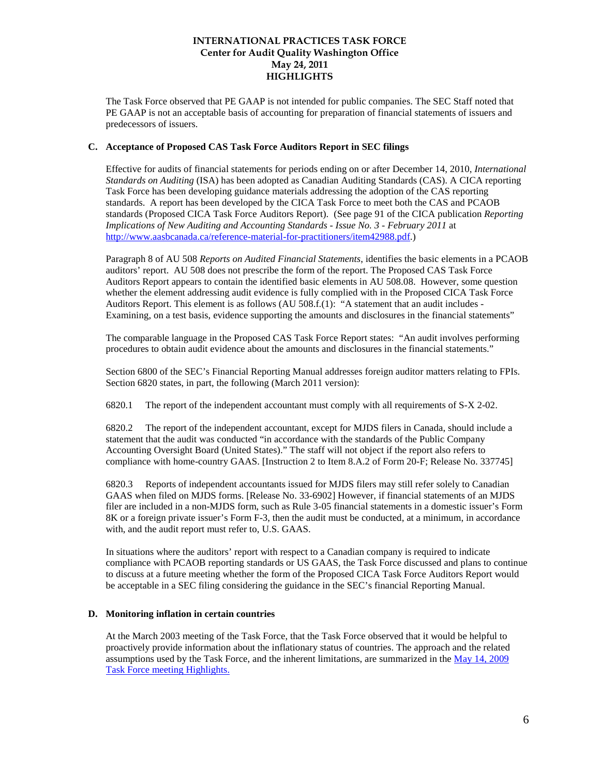The Task Force observed that PE GAAP is not intended for public companies. The SEC Staff noted that PE GAAP is not an acceptable basis of accounting for preparation of financial statements of issuers and predecessors of issuers.

### **C. Acceptance of Proposed CAS Task Force Auditors Report in SEC filings**

Effective for audits of financial statements for periods ending on or after December 14, 2010, *International Standards on Auditing* (ISA) has been adopted as Canadian Auditing Standards (CAS). A CICA reporting Task Force has been developing guidance materials addressing the adoption of the CAS reporting standards. A report has been developed by the CICA Task Force to meet both the CAS and PCAOB standards (Proposed CICA Task Force Auditors Report). (See page 91 of the CICA publication *Reporting Implications of New Auditing and Accounting Standards - Issue No. 3 - February 2011* at [http://www.aasbcanada.ca/reference-material-for-practitioners/item42988.pdf.](http://www.aasbcanada.ca/reference-material-for-practitioners/item42988.pdf))

Paragraph 8 of AU 508 *Reports on Audited Financial Statements*, identifies the basic elements in a PCAOB auditors' report. AU 508 does not prescribe the form of the report. The Proposed CAS Task Force Auditors Report appears to contain the identified basic elements in AU 508.08. However, some question whether the element addressing audit evidence is fully complied with in the Proposed CICA Task Force Auditors Report. This element is as follows (AU 508.f.(1): "A statement that an audit includes - Examining, on a test basis, evidence supporting the amounts and disclosures in the financial statements"

The comparable language in the Proposed CAS Task Force Report states: "An audit involves performing procedures to obtain audit evidence about the amounts and disclosures in the financial statements."

Section 6800 of the SEC's Financial Reporting Manual addresses foreign auditor matters relating to FPIs. Section 6820 states, in part, the following (March 2011 version):

6820.1 The report of the independent accountant must comply with all requirements of S-X 2-02.

6820.2 The report of the independent accountant, except for MJDS filers in Canada, should include a statement that the audit was conducted "in accordance with the standards of the Public Company Accounting Oversight Board (United States)." The staff will not object if the report also refers to compliance with home-country GAAS. [Instruction 2 to Item 8.A.2 of Form 20-F; Release No. 337745]

6820.3 Reports of independent accountants issued for MJDS filers may still refer solely to Canadian GAAS when filed on MJDS forms. [Release No. 33-6902] However, if financial statements of an MJDS filer are included in a non-MJDS form, such as Rule 3-05 financial statements in a domestic issuer's Form 8K or a foreign private issuer's Form F-3, then the audit must be conducted, at a minimum, in accordance with, and the audit report must refer to, U.S. GAAS.

In situations where the auditors' report with respect to a Canadian company is required to indicate compliance with PCAOB reporting standards or US GAAS, the Task Force discussed and plans to continue to discuss at a future meeting whether the form of the Proposed CICA Task Force Auditors Report would be acceptable in a SEC filing considering the guidance in the SEC's financial Reporting Manual.

### **D. Monitoring inflation in certain countries**

At the March 2003 meeting of the Task Force, that the Task Force observed that it would be helpful to proactively provide information about the inflationary status of countries. The approach and the related assumptions used by the Task Force, and the inherent limitations, are summarized in the [May 14, 2009](http://www.thecaq.org/iptf/pdfs/highlights/IPTF%205-14-09%20Joint%20Meeting%20HLs%20-%20FINAL.pdf)  [Task Force meeting Highlights.](http://www.thecaq.org/iptf/pdfs/highlights/IPTF%205-14-09%20Joint%20Meeting%20HLs%20-%20FINAL.pdf)